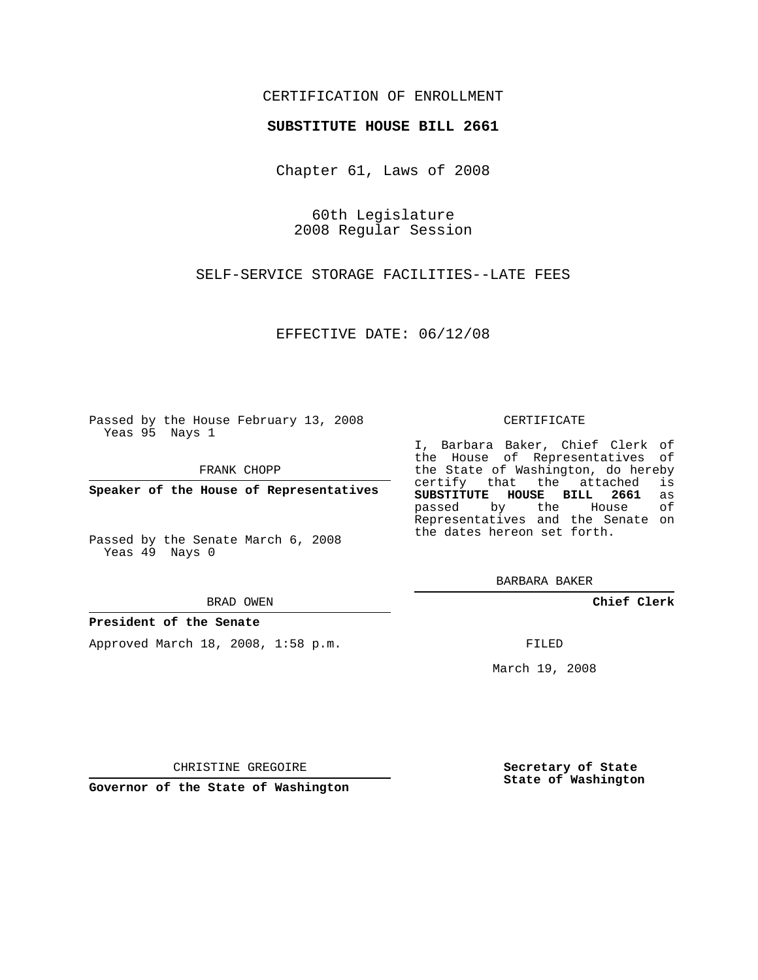# CERTIFICATION OF ENROLLMENT

## **SUBSTITUTE HOUSE BILL 2661**

Chapter 61, Laws of 2008

60th Legislature 2008 Regular Session

SELF-SERVICE STORAGE FACILITIES--LATE FEES

EFFECTIVE DATE: 06/12/08

Passed by the House February 13, 2008 Yeas 95 Nays 1

FRANK CHOPP

**Speaker of the House of Representatives**

Passed by the Senate March 6, 2008 Yeas 49 Nays 0

#### BRAD OWEN

### **President of the Senate**

Approved March 18, 2008, 1:58 p.m.

#### CERTIFICATE

I, Barbara Baker, Chief Clerk of the House of Representatives of the State of Washington, do hereby<br>certify that the attached is certify that the attached **SUBSTITUTE HOUSE BILL 2661** as passed by the House Representatives and the Senate on the dates hereon set forth.

BARBARA BAKER

**Chief Clerk**

FILED

March 19, 2008

CHRISTINE GREGOIRE

**Governor of the State of Washington**

**Secretary of State State of Washington**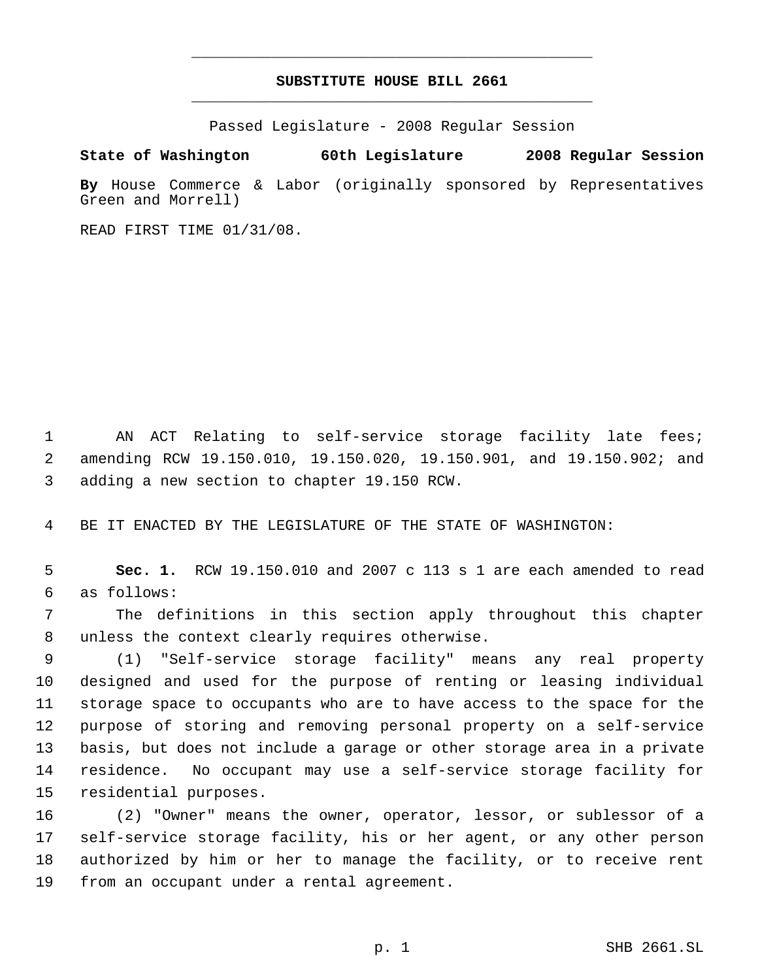# **SUBSTITUTE HOUSE BILL 2661** \_\_\_\_\_\_\_\_\_\_\_\_\_\_\_\_\_\_\_\_\_\_\_\_\_\_\_\_\_\_\_\_\_\_\_\_\_\_\_\_\_\_\_\_\_

\_\_\_\_\_\_\_\_\_\_\_\_\_\_\_\_\_\_\_\_\_\_\_\_\_\_\_\_\_\_\_\_\_\_\_\_\_\_\_\_\_\_\_\_\_

Passed Legislature - 2008 Regular Session

**State of Washington 60th Legislature 2008 Regular Session By** House Commerce & Labor (originally sponsored by Representatives Green and Morrell)

READ FIRST TIME 01/31/08.

 AN ACT Relating to self-service storage facility late fees; amending RCW 19.150.010, 19.150.020, 19.150.901, and 19.150.902; and adding a new section to chapter 19.150 RCW.

BE IT ENACTED BY THE LEGISLATURE OF THE STATE OF WASHINGTON:

 **Sec. 1.** RCW 19.150.010 and 2007 c 113 s 1 are each amended to read as follows:

 The definitions in this section apply throughout this chapter unless the context clearly requires otherwise.

 (1) "Self-service storage facility" means any real property designed and used for the purpose of renting or leasing individual storage space to occupants who are to have access to the space for the purpose of storing and removing personal property on a self-service basis, but does not include a garage or other storage area in a private residence. No occupant may use a self-service storage facility for residential purposes.

 (2) "Owner" means the owner, operator, lessor, or sublessor of a self-service storage facility, his or her agent, or any other person authorized by him or her to manage the facility, or to receive rent from an occupant under a rental agreement.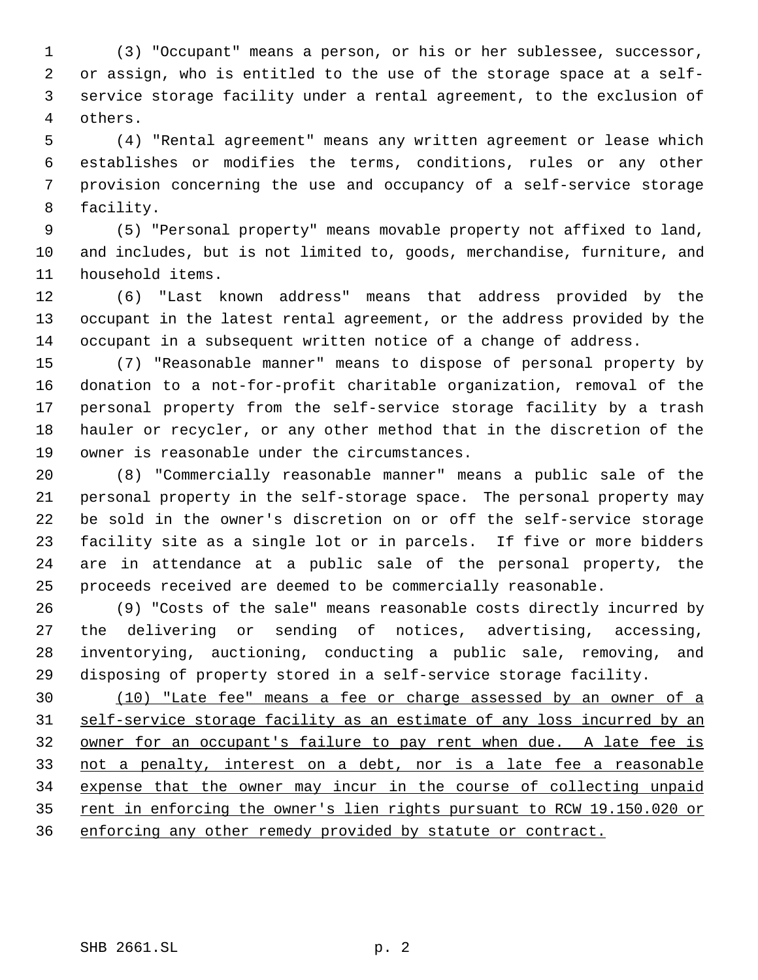(3) "Occupant" means a person, or his or her sublessee, successor, or assign, who is entitled to the use of the storage space at a self- service storage facility under a rental agreement, to the exclusion of others.

 (4) "Rental agreement" means any written agreement or lease which establishes or modifies the terms, conditions, rules or any other provision concerning the use and occupancy of a self-service storage facility.

 (5) "Personal property" means movable property not affixed to land, and includes, but is not limited to, goods, merchandise, furniture, and household items.

 (6) "Last known address" means that address provided by the occupant in the latest rental agreement, or the address provided by the occupant in a subsequent written notice of a change of address.

 (7) "Reasonable manner" means to dispose of personal property by donation to a not-for-profit charitable organization, removal of the personal property from the self-service storage facility by a trash hauler or recycler, or any other method that in the discretion of the owner is reasonable under the circumstances.

 (8) "Commercially reasonable manner" means a public sale of the personal property in the self-storage space. The personal property may be sold in the owner's discretion on or off the self-service storage facility site as a single lot or in parcels. If five or more bidders are in attendance at a public sale of the personal property, the proceeds received are deemed to be commercially reasonable.

 (9) "Costs of the sale" means reasonable costs directly incurred by the delivering or sending of notices, advertising, accessing, inventorying, auctioning, conducting a public sale, removing, and disposing of property stored in a self-service storage facility.

 (10) "Late fee" means a fee or charge assessed by an owner of a self-service storage facility as an estimate of any loss incurred by an owner for an occupant's failure to pay rent when due. A late fee is not a penalty, interest on a debt, nor is a late fee a reasonable expense that the owner may incur in the course of collecting unpaid 35 rent in enforcing the owner's lien rights pursuant to RCW 19.150.020 or enforcing any other remedy provided by statute or contract.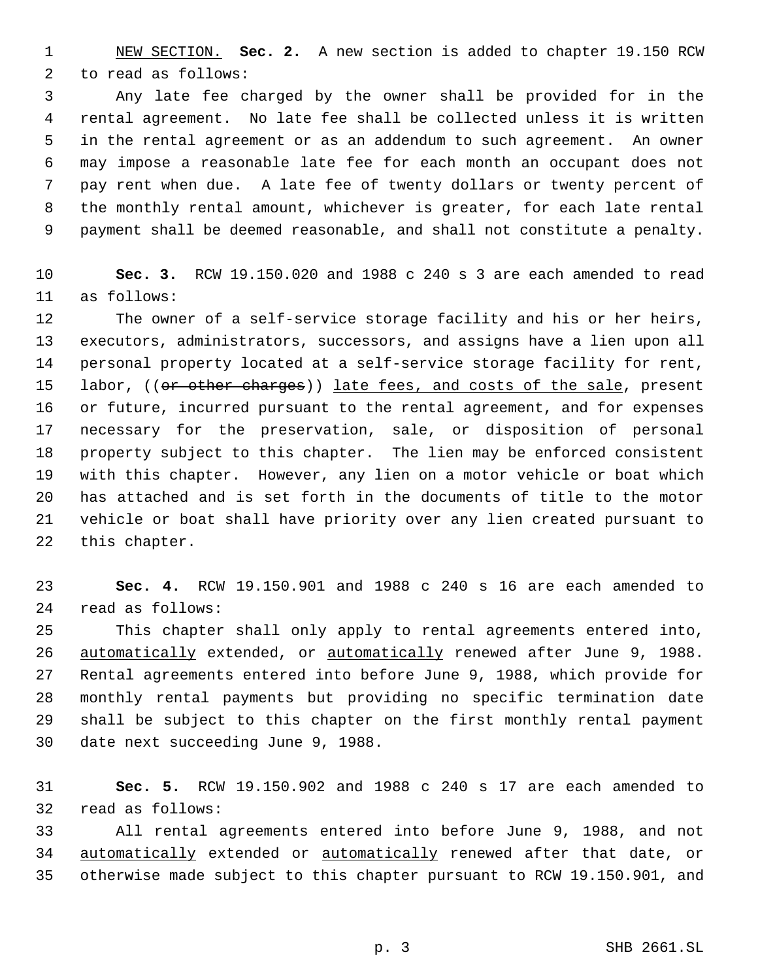NEW SECTION. **Sec. 2.** A new section is added to chapter 19.150 RCW to read as follows:

 Any late fee charged by the owner shall be provided for in the rental agreement. No late fee shall be collected unless it is written in the rental agreement or as an addendum to such agreement. An owner may impose a reasonable late fee for each month an occupant does not pay rent when due. A late fee of twenty dollars or twenty percent of the monthly rental amount, whichever is greater, for each late rental payment shall be deemed reasonable, and shall not constitute a penalty.

 **Sec. 3.** RCW 19.150.020 and 1988 c 240 s 3 are each amended to read as follows:

 The owner of a self-service storage facility and his or her heirs, executors, administrators, successors, and assigns have a lien upon all personal property located at a self-service storage facility for rent, 15 labor, ((or other charges)) late fees, and costs of the sale, present or future, incurred pursuant to the rental agreement, and for expenses necessary for the preservation, sale, or disposition of personal property subject to this chapter. The lien may be enforced consistent with this chapter. However, any lien on a motor vehicle or boat which has attached and is set forth in the documents of title to the motor vehicle or boat shall have priority over any lien created pursuant to this chapter.

 **Sec. 4.** RCW 19.150.901 and 1988 c 240 s 16 are each amended to read as follows:

 This chapter shall only apply to rental agreements entered into, 26 automatically extended, or automatically renewed after June 9, 1988. Rental agreements entered into before June 9, 1988, which provide for monthly rental payments but providing no specific termination date shall be subject to this chapter on the first monthly rental payment date next succeeding June 9, 1988.

 **Sec. 5.** RCW 19.150.902 and 1988 c 240 s 17 are each amended to read as follows:

 All rental agreements entered into before June 9, 1988, and not 34 automatically extended or automatically renewed after that date, or otherwise made subject to this chapter pursuant to RCW 19.150.901, and